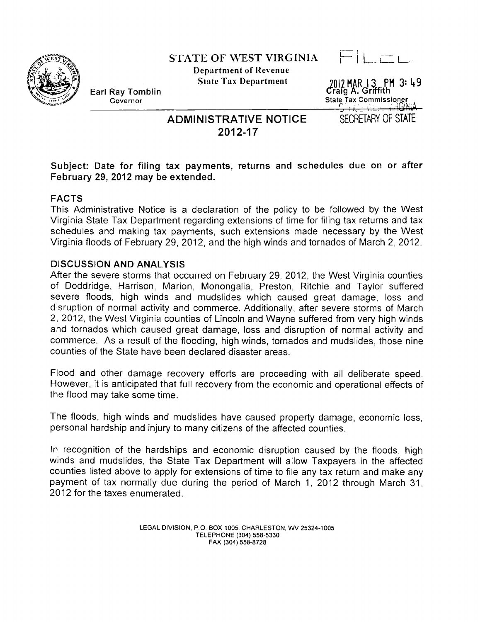

**STATE OF WEST VIRGINIA Department of Revenue State Tax Department** 

 $F|_{L}$ 

<sup>012</sup>**HlRJ 3 PM 3:** 49 C!ralg . **rlffith**  Governor State **Tax** Commissioner r,

**Earl Ray Tomblin** 

# **ADMINISTRATIVE NOTICE** SECRETARY OF **STATE 201 2-1 7**

#### Subject: Date for filing **tax** payments, returns and schedules due on or after February 29, 2012 may be extended.

### FACTS

This Administrative Notice is a declaration of the policy to be followed by the West Virginia State Tax Department regarding extensions of time for filing tax returns and tax schedules and making tax payments, such extensions made necessary by the West Virginia floods of February 29, 2012, and the high winds and tornados of March 2, 2012.

#### DISCUSSION AND ANALYSIS

After the severe storms that occurred on February 29, 2012, the West Virginia counties of Doddridge, Harrison, Marion, Monongalia, Preston, Ritchie and Taylor suffered severe floods, high winds and mudslides which caused great damage, loss and disruption of normal activity and commerce. Additionally, after severe storms of March 2, 2012, the West Virginia counties of Lincoln and Wayne suffered from very high winds and tornados which caused great damage, loss and disruption of normal activity and commerce. As a result of the flooding, high winds, tornados and mudslides, those nine counties of the State have been declared disaster areas.

Flood and other damage recovery efforts are proceeding with all deliberate speed. However, it is anticipated that full recovery from the economic and operational effects of the flood may take some time.

The floods, high winds and mudslides have caused property damage, economic loss, personal hardship and injury to many citizens of the affected counties.

In recognition of the hardships and economic disruption caused by the floods, high winds and mudslides, the State Tax Department will allow Taxpayers in the affected counties listed above to apply for extensions of time to file any tax return and make any payment of tax normally due during the period of March 1, 2012 through March 31, 2012 for the taxes enumerated.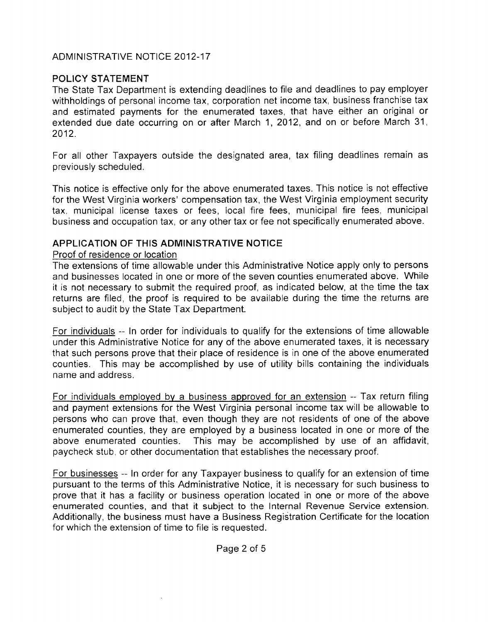#### ADMINISTRATIVE NOTICE 2012-17

### POLICY STATEMENT

The State Tax Department is extending deadlines to file and deadlines to pay employer withholdings of personal income tax, corporation net income tax, business franchise tax and estimated payments for the enumerated taxes, that have either an original or extended due date occurring on or after March 1, 2012, and on or before March 31, 2012.

For all other Taxpayers outside the designated area, tax filing deadlines remain as previously scheduled.

This notice is effective only for the above enumerated taxes. This notice is not effective for the West Virginia workers' compensation tax, the West Virginia employment security tax. municipal license taxes or fees, local fire fees, municipal fire fees, municipal business and occupation tax, or any other tax or fee not specifically enumerated above.

#### APPLICATION OF THIS ADMINISTRATIVE NOTICE

#### Proof of residence or location

The extensions of time allowable under this Administrative Notice apply only to persons and businesses located in one or more of the seven counties enumerated above. While it is not necessary to submit the required proof, as indicated below, at the time the tax returns are filed, the proof is required to be available during the time the returns are subject to audit by the State Tax Department.

For individuals -- In order for individuals to qualify for the extensions of time allowable under this Administrative Notice for any of the above enumerated taxes, it is necessary that such persons prove that their place of residence is in one of the above enumerated counties. This may be accomplished by use of utility bills containing the individuals name and address.

For individuals employed bv a business approved for an extension -- Tax return filing and payment extensions for the West Virginia personal income tax will be allowable to persons who can prove that, even though they are not residents of one of the above enumerated counties, they are employed by a business located in one or more of the above enumerated counties. This may be accomplished by use of an affidavit, paycheck stub, or other documentation that establishes the necessary proof.

For businesses -- In order for any Taxpayer business to qualify for an extension of time pursuant to the terms of this Administrative Notice, it is necessary for such business to prove that it has a facility or business operation located in one or more of the above enumerated counties, and that it subject to the Internal Revenue Service extension. Additionally, the business must have a Business Registration Certificate for the location for which the extension of time to file is requested.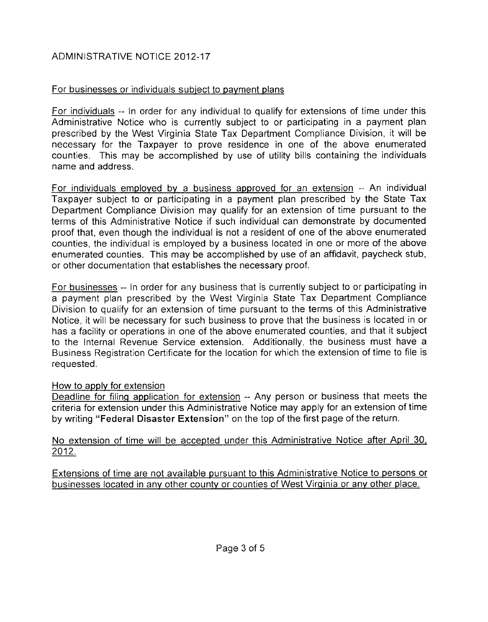## ADMINISTRATIVE NOTICE 2012-17

## For businesses or individuals subiect to payment plans

For individuals -- In order for any individual to qualify for extensions of time under this Administrative Notice who is currently subject to or participating in a payment plan prescribed by the West Virginia State Tax Department Compliance Division, it will be necessary for the Taxpayer to prove residence in one of the above enumerated counties. This may be accomplished by use of utility bills containing the individuals name and address.

For individuals employed bv a business approved for an extension -- An individual Taxpayer subject to or participating in a payment plan prescribed by the State Tax Department Compliance Division may qualify for an extension of time pursuant to the terms of this Administrative Notice if such individual can demonstrate by documented proof that, even though the individual is not a resident of one of the above enumerated counties, the individual is employed by a business located in one or more of the above enumerated counties. This may be accomplished by use of an affidavit, paycheck stub, or other documentation that establishes the necessary proof.

For businesses -- In order for any business that is currently subject to or participating in a payment plan prescribed by the West Virginia State Tax Department Compliance Division to qualify for an extension of time pursuant to the terms of this Administrative Notice, it will be necessary for such business to prove that the business is located in or has a facility or operations in one of the above enumerated counties, and that it subject to the Internal Revenue Service extension. Additionally, the business must have a Business Registration Certificate for the location for which the extension of time to file is requested.

## How to apply for extension

Deadline for filing application for extension -- Any person or business that meets the criteria for extension under this Administrative Notice may apply for an extension of time by writing "Federal Disaster Extension" on the top of the first page of the return.

### No extension of time will be accepted under this Administrative Notice after April 30.  $2012.$

Extensions of time are not available pursuant to this Administrative Notice to persons or businesses located in any other county or counties of West Virginia or any other place.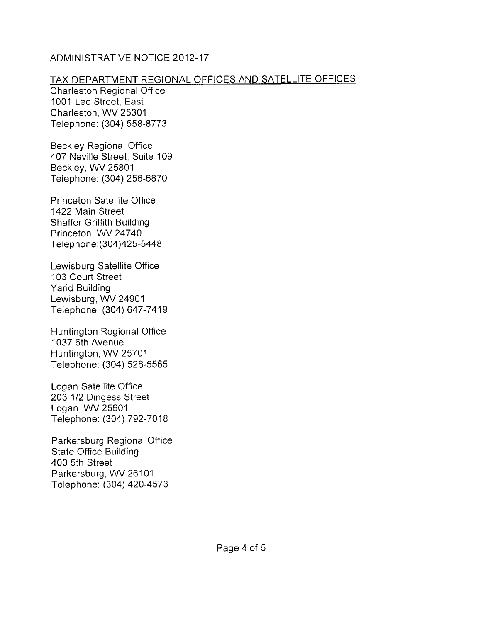### ADMINISTRATIVE NOTICE 2012-17

### TAX DEPARTMENT REGIONAL OFFICES AND SATELLITE OFFICES

Charleston Regional Office 1001 Lee Street, East Charleston, WV 25301 Telephone: (304) 558-8773

Beckley Regional Office 407 Neville Street, Suite 109 Beckley, WV 25801 Telephone: (304) 256-6870

Princeton Satellite Office 1422 Main Street Shaffer Griffith Building Princeton, WV 24740 Telephone:(304)425-5448

Lewisburg Satellite Office 103 Court Street Yarid Building Lewisburg, WV 24901 Telephone: (304) 647-741 9

Huntington Regional Office 1037 6th Avenue Huntington, WV 25701 Telephone: (304) 528-5565

Logan Satellite Office 203 112 Dingess Street Logan. WV 25601 Telephone: (304) 792-701 8

Parkersburg Regional Office State Office Building 400 5th Street Parkersburg, WV 26101 Telephone: (304) 420-4573